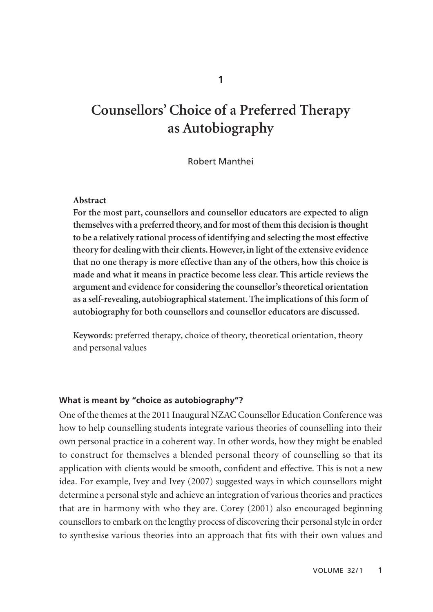# **Counsellors' Choice of a Preferred Therapy as Autobiography**

#### Robert Manthei

#### **Abstract**

**For the most part, counsellors and counsellor educators are expected to align themselves with a preferred theory, and for most of them this decision is thought to be a relatively rational process of identifying and selecting the most effective theory for dealing with their clients. However, in light of the extensive evidence that no one therapy is more effective than any of the others, how this choice is made and what it means in practice become less clear. This article reviews the argument and evidence for considering the counsellor's theoretical orientation as a self-revealing, autobiographical statement. The implications of this form of autobiography for both counsellors and counsellor educators are discussed.**

**Keywords:** preferred therapy, choice of theory, theoretical orientation, theory and personal values

#### **What is meant by "choice as autobiography"?**

One of the themes at the 2011 Inaugural NZAC Counsellor Education Conference was how to help counselling students integrate various theories of counselling into their own personal practice in a coherent way. In other words, how they might be enabled to construct for themselves a blended personal theory of counselling so that its application with clients would be smooth, confident and effective. This is not a new idea. For example, Ivey and Ivey (2007) suggested ways in which counsellors might determine a personal style and achieve an integration of various theories and practices that are in harmony with who they are. Corey (2001) also encouraged beginning counsellors to embark on the lengthy process of discovering their personal style in order to synthesise various theories into an approach that fits with their own values and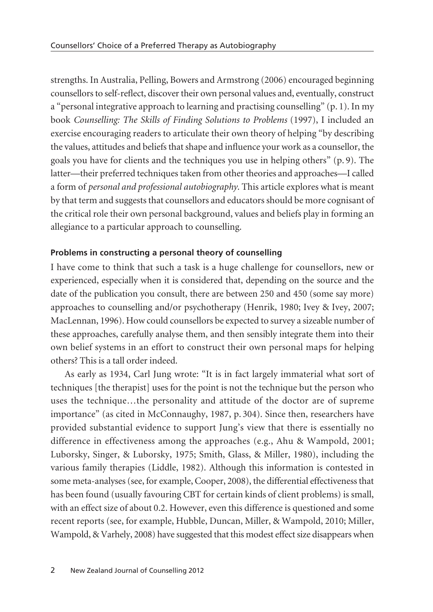strengths. In Australia, Pelling, Bowers and Armstrong (2006) encouraged beginning counsellors to self-reflect, discover their own personal values and, eventually, construct a "personal integrative approach to learning and practising counselling" (p. 1). In my book *Counselling: The Skills of Finding Solutions to Problems* (1997), I included an exercise encouraging readers to articulate their own theory of helping "by describing the values, attitudes and beliefs that shape and influence your work as a counsellor, the goals you have for clients and the techniques you use in helping others" (p. 9). The latter—their preferred techniques taken from other theories and approaches—I called a form of *personal and professional autobiography*. This article explores what is meant by that term and suggests that counsellors and educators should be more cognisant of the critical role their own personal background, values and beliefs play in forming an allegiance to a particular approach to counselling.

### **Problems in constructing a personal theory of counselling**

I have come to think that such a task is a huge challenge for counsellors, new or experienced, especially when it is considered that, depending on the source and the date of the publication you consult, there are between 250 and 450 (some say more) approaches to counselling and/or psychotherapy (Henrik, 1980; Ivey & Ivey, 2007; MacLennan, 1996). How could counsellors be expected to survey a sizeable number of these approaches, carefully analyse them, and then sensibly integrate them into their own belief systems in an effort to construct their own personal maps for helping others? This is a tall order indeed.

As early as 1934, Carl Jung wrote: "It is in fact largely immaterial what sort of techniques [the therapist] uses for the point is not the technique but the person who uses the technique…the personality and attitude of the doctor are of supreme importance" (as cited in McConnaughy, 1987, p. 304). Since then, researchers have provided substantial evidence to support Jung's view that there is essentially no difference in effectiveness among the approaches (e.g., Ahu & Wampold, 2001; Luborsky, Singer, & Luborsky, 1975; Smith, Glass, & Miller, 1980), including the various family therapies (Liddle, 1982). Although this information is contested in some meta-analyses (see, for example, Cooper, 2008), the differential effectiveness that has been found (usually favouring CBT for certain kinds of client problems) is small, with an effect size of about 0.2. However, even this difference is questioned and some recent reports (see, for example, Hubble, Duncan, Miller, & Wampold, 2010; Miller, Wampold, & Varhely, 2008) have suggested that this modest effect size disappears when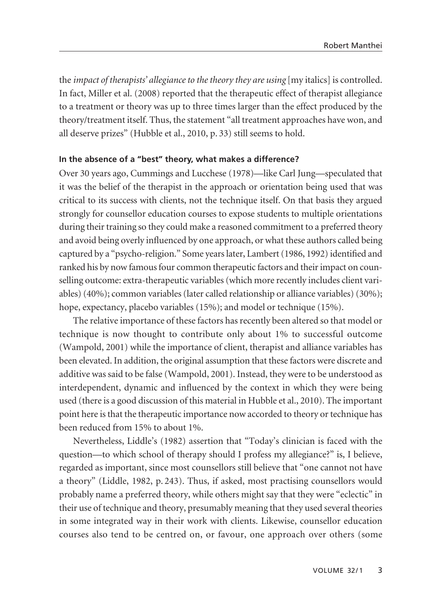the *impact of therapists' allegiance to the theory they are using* [my italics] is controlled. In fact, Miller et al. (2008) reported that the therapeutic effect of therapist allegiance to a treatment or theory was up to three times larger than the effect produced by the theory/treatment itself. Thus, the statement "all treatment approaches have won, and all deserve prizes" (Hubble et al., 2010, p. 33) still seems to hold.

#### **In the absence of a "best" theory, what makes a difference?**

Over 30 years ago, Cummings and Lucchese (1978)—like Carl Jung—speculated that it was the belief of the therapist in the approach or orientation being used that was critical to its success with clients, not the technique itself. On that basis they argued strongly for counsellor education courses to expose students to multiple orientations during their training so they could make a reasoned commitment to a preferred theory and avoid being overly influenced by one approach, or what these authors called being captured by a "psycho-religion." Some years later, Lambert (1986, 1992) identified and ranked his by now famous four common therapeutic factors and their impact on counselling outcome: extra-therapeutic variables (which more recently includes client variables) (40%); common variables (later called relationship or alliance variables) (30%); hope, expectancy, placebo variables (15%); and model or technique (15%).

The relative importance of these factors has recently been altered so that model or technique is now thought to contribute only about 1% to successful outcome (Wampold, 2001) while the importance of client, therapist and alliance variables has been elevated. In addition, the original assumption that these factors were discrete and additive was said to be false (Wampold, 2001). Instead, they were to be understood as interdependent, dynamic and influenced by the context in which they were being used (there is a good discussion of this material in Hubble et al., 2010). The important point here is that the therapeutic importance now accorded to theory or technique has been reduced from 15% to about 1%.

Nevertheless, Liddle's (1982) assertion that "Today's clinician is faced with the question—to which school of therapy should I profess my allegiance?" is, I believe, regarded as important, since most counsellors still believe that "one cannot not have a theory" (Liddle, 1982, p. 243). Thus, if asked, most practising counsellors would probably name a preferred theory, while others might say that they were "eclectic" in their use of technique and theory, presumably meaning that they used several theories in some integrated way in their work with clients. Likewise, counsellor education courses also tend to be centred on, or favour, one approach over others (some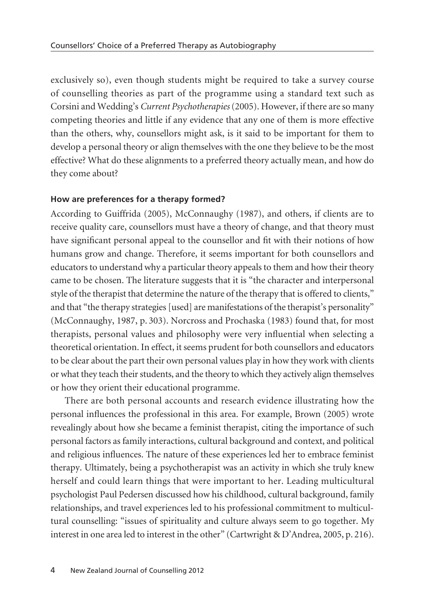exclusively so), even though students might be required to take a survey course of counselling theories as part of the programme using a standard text such as Corsini and Wedding's *Current Psychotherapies*(2005). However, if there are so many competing theories and little if any evidence that any one of them is more effective than the others, why, counsellors might ask, is it said to be important for them to develop a personal theory or align themselves with the one they believe to be the most effective? What do these alignments to a preferred theory actually mean, and how do they come about?

#### **How are preferences for a therapy formed?**

According to Guiffrida (2005), McConnaughy (1987), and others, if clients are to receive quality care, counsellors must have a theory of change, and that theory must have significant personal appeal to the counsellor and fit with their notions of how humans grow and change. Therefore, it seems important for both counsellors and educators to understand why a particular theory appeals to them and how their theory came to be chosen. The literature suggests that it is "the character and interpersonal style of the therapist that determine the nature of the therapy that is offered to clients," and that "the therapy strategies [used] are manifestations of the therapist's personality" (McConnaughy, 1987, p. 303). Norcross and Prochaska (1983) found that, for most therapists, personal values and philosophy were very influential when selecting a theoretical orientation. In effect, it seems prudent for both counsellors and educators to be clear about the part their own personal values play in how they work with clients or what they teach their students, and the theory to which they actively align themselves or how they orient their educational programme.

There are both personal accounts and research evidence illustrating how the personal influences the professional in this area. For example, Brown (2005) wrote revealingly about how she became a feminist therapist, citing the importance of such personal factors as family interactions, cultural background and context, and political and religious influences. The nature of these experiences led her to embrace feminist therapy. Ultimately, being a psychotherapist was an activity in which she truly knew herself and could learn things that were important to her. Leading multicultural psychologist Paul Pedersen discussed how his childhood, cultural background, family relationships, and travel experiences led to his professional commitment to multicultural counselling: "issues of spirituality and culture always seem to go together. My interest in one area led to interest in the other" (Cartwright & D'Andrea, 2005, p. 216).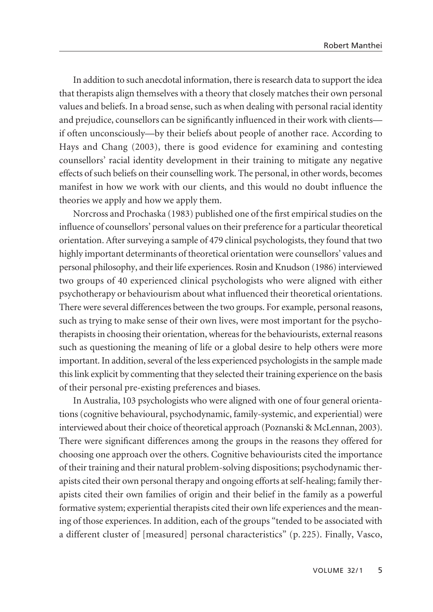In addition to such anecdotal information, there is research data to support the idea that therapists align themselves with a theory that closely matches their own personal values and beliefs. In a broad sense, such as when dealing with personal racial identity and prejudice, counsellors can be significantly influenced in their work with clients if often unconsciously—by their beliefs about people of another race. According to Hays and Chang (2003), there is good evidence for examining and contesting counsellors' racial identity development in their training to mitigate any negative effects of such beliefs on their counselling work. The personal, in other words, becomes manifest in how we work with our clients, and this would no doubt influence the theories we apply and how we apply them.

Norcross and Prochaska (1983) published one of the first empirical studies on the influence of counsellors' personal values on their preference for a particular theoretical orientation. After surveying a sample of 479 clinical psychologists, they found that two highly important determinants of theoretical orientation were counsellors' values and personal philosophy, and their life experiences. Rosin and Knudson (1986) interviewed two groups of 40 experienced clinical psychologists who were aligned with either psychotherapy or behaviourism about what influenced their theoretical orientations. There were several differences between the two groups. For example, personal reasons, such as trying to make sense of their own lives, were most important for the psycho therapists in choosing their orientation, whereas for the behaviourists, external reasons such as questioning the meaning of life or a global desire to help others were more important. In addition, several of the less experienced psychologists in the sample made this link explicit by commenting that they selected their training experience on the basis of their personal pre-existing preferences and biases.

In Australia, 103 psychologists who were aligned with one of four general orienta tions (cognitive behavioural, psychodynamic, family-systemic, and experiential) were interviewed about their choice of theoretical approach (Poznanski & McLennan, 2003). There were significant differences among the groups in the reasons they offered for choosing one approach over the others. Cognitive behaviourists cited the importance of their training and their natural problem-solving dispositions; psychodynamic therapists cited their own personal therapy and ongoing efforts at self-healing; family therapists cited their own families of origin and their belief in the family as a powerful formative system; experiential therapists cited their own life experiences and the meaning of those experiences. In addition, each of the groups "tended to be associated with a different cluster of [measured] personal characteristics" (p. 225). Finally, Vasco,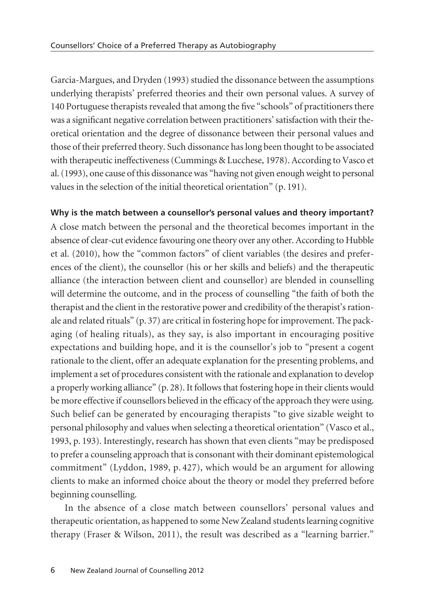Garcia-Margues, and Dryden (1993) studied the dissonance between the assumptions underlying therapists' preferred theories and their own personal values. A survey of 140 Portuguese therapists revealed that among the five "schools" of practitioners there was a significant negative correlation between practitioners' satisfaction with their theoretical orientation and the degree of dissonance between their personal values and those of their preferred theory. Such dissonance has long been thought to be associated with therapeutic ineffectiveness (Cummings & Lucchese, 1978). According to Vasco et al. (1993), one cause of this dissonance was "having not given enough weight to personal values in the selection of the initial theoretical orientation" (p. 191).

# **Why is the match between a counsellor's personal values and theory important?**

A close match between the personal and the theoretical becomes important in the absence of clear-cut evidence favouring one theory over any other. According to Hubble et al. (2010), how the "common factors" of client variables (the desires and preferences of the client), the counsellor (his or her skills and beliefs) and the therapeutic alliance (the interaction between client and counsellor) are blended in counselling will determine the outcome, and in the process of counselling "the faith of both the therapist and the client in the restorative power and credibility of the therapist's rationale and related rituals" (p. 37) are critical in fostering hope for improvement. The packaging (of healing rituals), as they say, is also important in encouraging positive expectations and building hope, and it is the counsellor's job to "present a cogent rationale to the client, offer an adequate explanation for the presenting problems, and implement a set of procedures consistent with the rationale and explanation to develop a properly working alliance" (p. 28). It follows that fostering hope in their clients would be more effective if counsellors believed in the efficacy of the approach they were using. Such belief can be generated by encouraging therapists "to give sizable weight to personal philosophy and values when selecting a theoretical orientation" (Vasco et al., 1993, p. 193). Interestingly, research has shown that even clients "may be predisposed to prefer a counseling approach that is consonant with their dominant epistemological commitment" (Lyddon, 1989, p. 427), which would be an argument for allowing clients to make an informed choice about the theory or model they preferred before beginning counselling.

In the absence of a close match between counsellors' personal values and therapeutic orientation, as happened to some New Zealand students learning cognitive therapy (Fraser & Wilson, 2011), the result was described as a "learning barrier."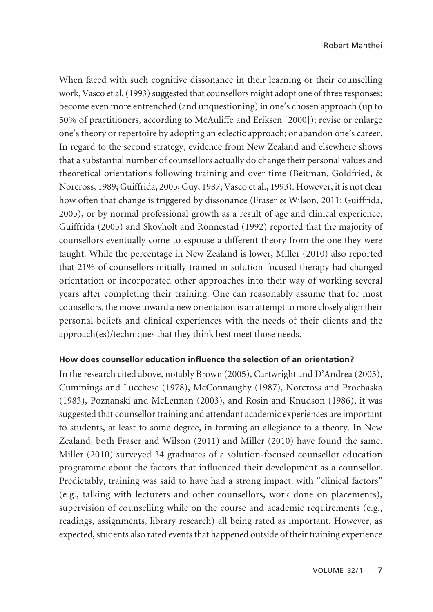When faced with such cognitive dissonance in their learning or their counselling work, Vasco et al. (1993) suggested that counsellors might adopt one of three responses: become even more entrenched (and unquestioning) in one's chosen approach (up to 50% of practitioners, according to McAuliffe and Eriksen [2000]); revise or enlarge one's theory or repertoire by adopting an eclectic approach; or abandon one's career. In regard to the second strategy, evidence from New Zealand and elsewhere shows that a substantial number of counsellors actually do change their personal values and theoretical orientations following training and over time (Beitman, Goldfried, & Norcross, 1989; Guiffrida, 2005; Guy, 1987; Vasco et al., 1993). However, it is not clear how often that change is triggered by dissonance (Fraser & Wilson, 2011; Guiffrida, 2005), or by normal professional growth as a result of age and clinical experience. Guiffrida (2005) and Skovholt and Ronnestad (1992) reported that the majority of counsellors eventually come to espouse a different theory from the one they were taught. While the percentage in New Zealand is lower, Miller (2010) also reported that 21% of counsellors initially trained in solution-focused therapy had changed orientation or incorporated other approaches into their way of working several years after completing their training. One can reasonably assume that for most counsellors, the move toward a new orientation is an attempt to more closely align their personal beliefs and clinical experiences with the needs of their clients and the approach(es)/techniques that they think best meet those needs.

### **How does counsellor education influence the selection of an orientation?**

In the research cited above, notably Brown (2005), Cartwright and D'Andrea (2005), Cummings and Lucchese (1978), McConnaughy (1987), Norcross and Prochaska (1983), Poznanski and McLennan (2003), and Rosin and Knudson (1986), it was suggested that counsellor training and attendant academic experiences are important to students, at least to some degree, in forming an allegiance to a theory. In New Zealand, both Fraser and Wilson (2011) and Miller (2010) have found the same. Miller (2010) surveyed 34 graduates of a solution-focused counsellor education programme about the factors that influenced their development as a counsellor. Predictably, training was said to have had a strong impact, with "clinical factors" (e.g., talking with lecturers and other counsellors, work done on placements), supervision of counselling while on the course and academic requirements (e.g., readings, assignments, library research) all being rated as important. However, as expected, students also rated events that happened outside of their training experience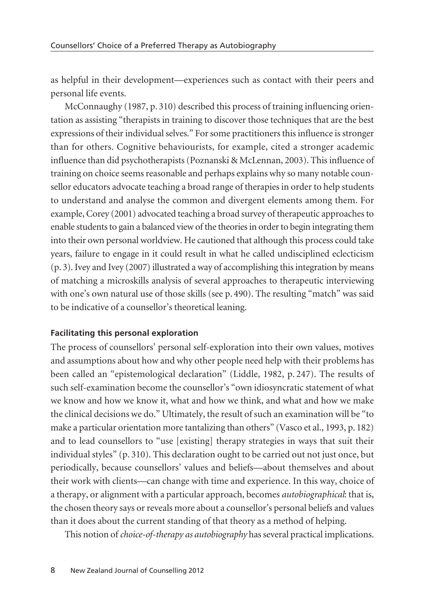as helpful in their development—experiences such as contact with their peers and personal life events.

McConnaughy (1987, p. 310) described this process of training influencing orientation as assisting "therapists in training to discover those techniques that are the best expressions of their individual selves." For some practitioners this influence is stronger than for others. Cognitive behaviourists, for example, cited a stronger academic influence than did psychotherapists (Poznanski & McLennan, 2003). This influence of training on choice seems reasonable and perhaps explains why so many notable counsellor educators advocate teaching a broad range of therapies in order to help students to understand and analyse the common and divergent elements among them. For example, Corey (2001) advocated teaching a broad survey of therapeutic approaches to enable students to gain a balanced view of the theories in order to begin integrating them into their own personal worldview. He cautioned that although this process could take years, failure to engage in it could result in what he called undisciplined eclecticism (p. 3). Ivey and Ivey (2007) illustrated a way of accomplishing this integration by means of matching a microskills analysis of several approaches to therapeutic interviewing with one's own natural use of those skills (see p. 490). The resulting "match" was said to be indicative of a counsellor's theoretical leaning.

### **Facilitating this personal exploration**

The process of counsellors' personal self-exploration into their own values, motives and assumptions about how and why other people need help with their problems has been called an "epistemological declaration" (Liddle, 1982, p. 247). The results of such self-examination become the counsellor's "own idiosyncratic statement of what we know and how we know it, what and how we think, and what and how we make the clinical decisions we do." Ultimately, the result of such an examination will be "to make a particular orientation more tantalizing than others" (Vasco et al., 1993, p. 182) and to lead counsellors to "use [existing] therapy strategies in ways that suit their individual styles" (p. 310). This declaration ought to be carried out not just once, but periodically, because counsellors' values and beliefs—about themselves and about their work with clients—can change with time and experience. In this way, choice of a therapy, or alignment with a particular approach, becomes *autobiographical*: that is, the chosen theory says or reveals more about a counsellor's personal beliefs and values than it does about the current standing of that theory as a method of helping.

This notion of *choice-of-therapy as autobiography* has several practical implications.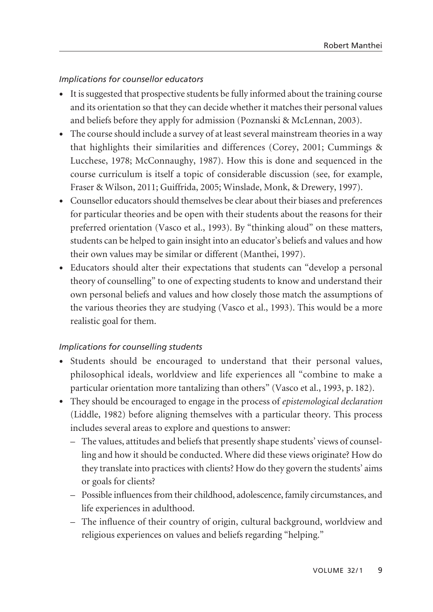# *Implications for counsellor educators*

- It is suggested that prospective students be fully informed about the training course and its orientation so that they can decide whether it matches their personal values and beliefs before they apply for admission (Poznanski & McLennan, 2003).
- The course should include a survey of at least several mainstream theories in a way that highlights their similarities and differences (Corey, 2001; Cummings & Lucchese, 1978; McConnaughy, 1987). How this is done and sequenced in the course curriculum is itself a topic of considerable discussion (see, for example, Fraser & Wilson, 2011; Guiffrida, 2005; Winslade, Monk, & Drewery, 1997).
- Counsellor educators should themselves be clear about their biases and preferences for particular theories and be open with their students about the reasons for their preferred orientation (Vasco et al., 1993). By "thinking aloud" on these matters, students can be helped to gain insight into an educator's beliefs and values and how their own values may be similar or different (Manthei, 1997).
- Educators should alter their expectations that students can "develop a personal theory of counselling" to one of expecting students to know and understand their own personal beliefs and values and how closely those match the assumptions of the various theories they are studying (Vasco et al., 1993). This would be a more realistic goal for them.

# *Implications for counselling students*

- Students should be encouraged to understand that their personal values, philosophical ideals, worldview and life experiences all "combine to make a particular orientation more tantalizing than others" (Vasco et al., 1993, p. 182).
- They should be encouraged to engage in the process of *epistemological declaration* (Liddle, 1982) before aligning themselves with a particular theory. This process includes several areas to explore and questions to answer:
	- The values, attitudes and beliefs that presently shape students' views of counsel ling and how it should be conducted. Where did these views originate? How do they translate into practices with clients? How do they govern the students' aims or goals for clients?
	- Possible influences from their childhood, adolescence, family circumstances, and life experiences in adulthood.
	- The influence of their country of origin, cultural background, worldview and religious experiences on values and beliefs regarding "helping."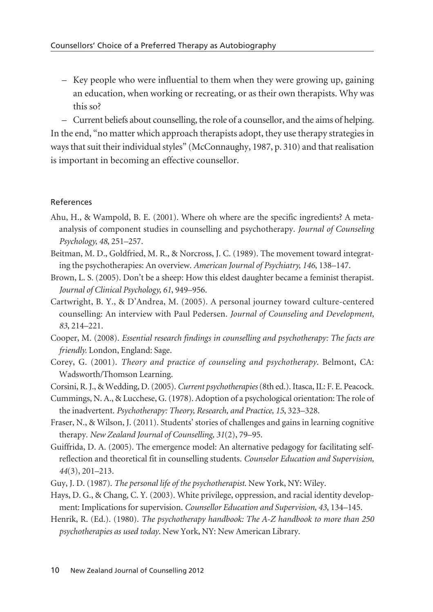– Key people who were influential to them when they were growing up, gaining an education, when working or recreating, or as their own therapists. Why was this so?

– Current beliefs about counselling, the role of a counsellor, and the aims of helping. In the end, "no matter which approach therapists adopt, they use therapy strategies in ways that suit their individual styles" (McConnaughy, 1987, p. 310) and that realisation is important in becoming an effective counsellor.

# References

- Ahu, H., & Wampold, B. E. (2001). Where oh where are the specific ingredients? A metaanalysis of component studies in counselling and psychotherapy. *Journal of Counseling Psychology, 48*, 251–257.
- Beitman, M. D., Goldfried, M. R., & Norcross, J. C. (1989). The movement toward integrating the psychotherapies: An overview. *American Journal of Psychiatry, 146*, 138–147.
- Brown, L. S. (2005). Don't be a sheep: How this eldest daughter became a feminist therapist. *Journal of Clinical Psychology, 61*, 949–956.
- Cartwright, B. Y., & D'Andrea, M. (2005). A personal journey toward culture-centered counselling: An interview with Paul Pedersen. *Journal of Counseling and Development, 83*, 214–221.
- Cooper, M. (2008). *Essential research findings in counselling and psychotherapy: The facts are friendly.* London, England: Sage.
- Corey, G. (2001). *Theory and practice of counseling and psychotherapy*. Belmont, CA: Wadsworth/Thomson Learning.
- Corsini, R. J., & Wedding, D. (2005). *Current psychotherapies* (8th ed.). Itasca, IL: F. E. Peacock.
- Cummings, N. A., & Lucchese, G. (1978). Adoption of a psychological orientation: The role of the inadvertent. *Psychotherapy: Theory, Research, and Practice, 15*, 323–328.
- Fraser, N., & Wilson, J. (2011). Students' stories of challenges and gains in learning cognitive therapy. *New Zealand Journal of Counselling, 31*(2), 79–95.
- Guiffrida, D. A. (2005). The emergence model: An alternative pedagogy for facilitating selfreflection and theoretical fit in counselling students. *Counselor Education and Supervision, 44*(3), 201–213.
- Guy, J. D. (1987). *The personal life of the psychotherapist*. New York, NY: Wiley.
- Hays, D. G., & Chang, C. Y. (2003). White privilege, oppression, and racial identity development: Implications for supervision. *Counsellor Education and Supervision, 43*, 134–145.
- Henrik, R. (Ed.). (1980). *The psychotherapy handbook: The A-Z handbook to more than 250 psychotherapies as used today*. New York, NY: New American Library.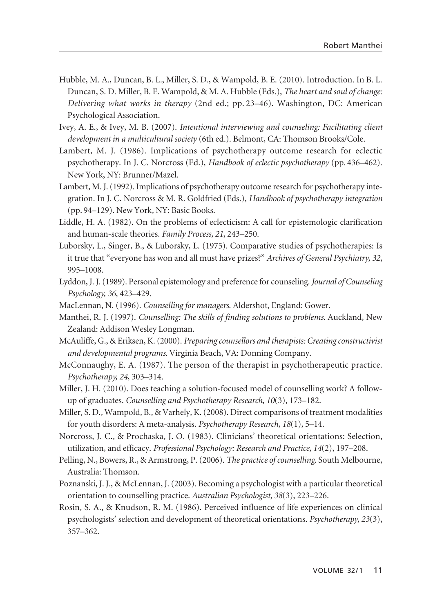- Hubble, M. A., Duncan, B. L., Miller, S. D., & Wampold, B. E. (2010). Introduction. In B. L. Duncan, S. D. Miller, B. E. Wampold, & M. A. Hubble (Eds.), *The heart and soul of change: Delivering what works in therapy* (2nd ed.; pp. 23–46). Washington, DC: American Psychological Association.
- Ivey, A. E., & Ivey, M. B. (2007). *Intentional interviewing and counseling: Facilitating client development in a multicultural society* (6th ed.). Belmont, CA: Thomson Brooks/Cole.
- Lambert, M. J. (1986). Implications of psychotherapy outcome research for eclectic psychotherapy. In J. C. Norcross (Ed.), *Handbook of eclectic psychotherapy* (pp. 436–462). New York, NY: Brunner/Mazel.
- Lambert, M. J. (1992). Implications of psychotherapy outcome research for psychotherapy integration. In J. C. Norcross & M. R. Goldfried (Eds.), *Handbook of psychotherapy integration* (pp. 94–129). New York, NY: Basic Books.
- Liddle, H. A. (1982). On the problems of eclecticism: A call for epistemologic clarification and human-scale theories. *Family Process, 21*, 243–250.
- Luborsky, L., Singer, B., & Luborsky, L. (1975). Comparative studies of psychotherapies: Is it true that "everyone has won and all must have prizes?" *Archives of General Psychiatry, 32*, 995–1008.
- Lyddon, J. J. (1989). Personal epistemology and preference for counseling. *Journal of Counseling Psychology, 36*, 423–429.
- MacLennan, N. (1996). *Counselling for managers*. Aldershot, England: Gower.
- Manthei, R. J. (1997). *Counselling: The skills of finding solutions to problems.* Auckland, New Zealand: Addison Wesley Longman.
- McAuliffe, G., & Eriksen, K. (2000). *Preparing counsellors and therapists: Creating constructivist and developmental programs.* Virginia Beach, VA: Donning Company.
- McConnaughy, E. A. (1987). The person of the therapist in psychotherapeutic practice. *Psychotherapy, 24*, 303–314.
- Miller, J. H. (2010). Does teaching a solution-focused model of counselling work? A followup of graduates. *Counselling and Psychotherapy Research, 10*(3), 173–182.
- Miller, S. D., Wampold, B., & Varhely, K. (2008). Direct comparisons of treatment modalities for youth disorders: A meta-analysis. *Psychotherapy Research, 18*(1)*,* 5–14.
- Norcross, J. C., & Prochaska, J. O. (1983). Clinicians' theoretical orientations: Selection, utilization, and efficacy. *Professional Psychology: Research and Practice, 14*(2), 197–208.
- Pelling, N., Bowers, R., & Armstrong, P. (2006). *The practice of counselling*. South Melbourne, Australia: Thomson.
- Poznanski, J. J., & McLennan, J. (2003). Becoming a psychologist with a particular theoretical orientation to counselling practice. *Australian Psychologist, 38*(3), 223–226.
- Rosin, S. A., & Knudson, R. M. (1986). Perceived influence of life experiences on clinical psychologists' selection and development of theoretical orientations. *Psychotherapy, 23*(3), 357–362.